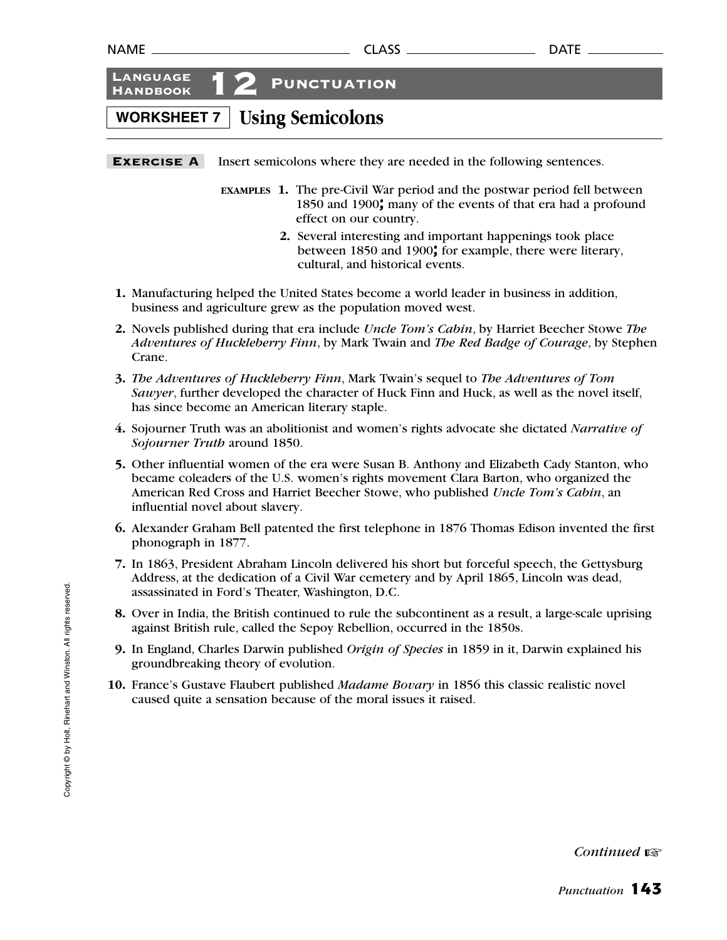

**EXERCISE A** Insert semicolons where they are needed in the following sentences.

- **EXAMPLES 1.** The pre-Civil War period and the postwar period fell between 1850 and 1900**;** many of the events of that era had a profound effect on our country.
	- **2.** Several interesting and important happenings took place between 1850 and 1900**;** for example, there were literary, cultural, and historical events.
- **1.** Manufacturing helped the United States become a world leader in business in addition, business and agriculture grew as the population moved west.
- **2.** Novels published during that era include *Uncle Tom's Cabin*, by Harriet Beecher Stowe *The Adventures of Huckleberry Finn*, by Mark Twain and *The Red Badge of Courage*, by Stephen Crane.
- **3.** *The Adventures of Huckleberry Finn*, Mark Twain's sequel to *The Adventures of Tom Sawyer*, further developed the character of Huck Finn and Huck, as well as the novel itself, has since become an American literary staple.
- **4.** Sojourner Truth was an abolitionist and women's rights advocate she dictated *Narrative of Sojourner Truth* around 1850.
- **5.** Other influential women of the era were Susan B. Anthony and Elizabeth Cady Stanton, who became coleaders of the U.S. women's rights movement Clara Barton, who organized the American Red Cross and Harriet Beecher Stowe, who published *Uncle Tom's Cabin*, an influential novel about slavery.
- **6.** Alexander Graham Bell patented the first telephone in 1876 Thomas Edison invented the first phonograph in 1877.
- **7.** In 1863, President Abraham Lincoln delivered his short but forceful speech, the Gettysburg Address, at the dedication of a Civil War cemetery and by April 1865, Lincoln was dead, assassinated in Ford's Theater, Washington, D.C.
- **8.** Over in India, the British continued to rule the subcontinent as a result, a large-scale uprising against British rule, called the Sepoy Rebellion, occurred in the 1850s.
- **9.** In England, Charles Darwin published *Origin of Species* in 1859 in it, Darwin explained his groundbreaking theory of evolution.
- **10.** France's Gustave Flaubert published *Madame Bovary* in 1856 this classic realistic novel caused quite a sensation because of the moral issues it raised.

*Continued* ☞